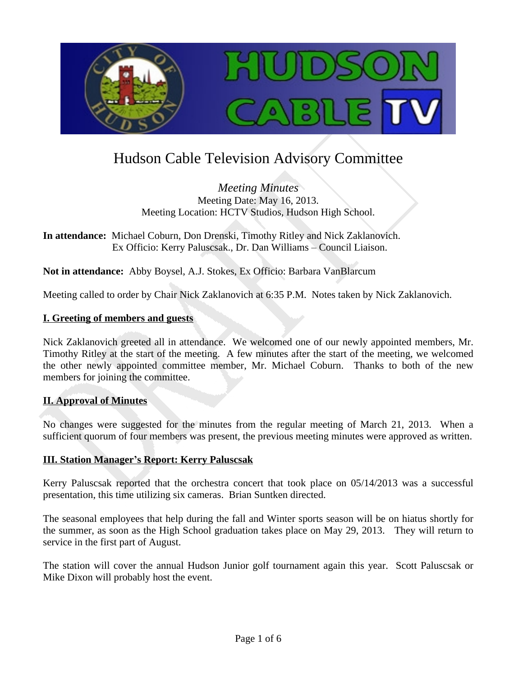

# Hudson Cable Television Advisory Committee

*Meeting Minutes* Meeting Date: May 16, 2013. Meeting Location: HCTV Studios, Hudson High School.

**In attendance:** Michael Coburn, Don Drenski, Timothy Ritley and Nick Zaklanovich. Ex Officio: Kerry Paluscsak., Dr. Dan Williams – Council Liaison.

**Not in attendance:** Abby Boysel, A.J. Stokes, Ex Officio: Barbara VanBlarcum

Meeting called to order by Chair Nick Zaklanovich at 6:35 P.M. Notes taken by Nick Zaklanovich.

#### **I. Greeting of members and guests**

Nick Zaklanovich greeted all in attendance. We welcomed one of our newly appointed members, Mr. Timothy Ritley at the start of the meeting. A few minutes after the start of the meeting, we welcomed the other newly appointed committee member, Mr. Michael Coburn. Thanks to both of the new members for joining the committee.

#### **II. Approval of Minutes**

No changes were suggested for the minutes from the regular meeting of March 21, 2013. When a sufficient quorum of four members was present, the previous meeting minutes were approved as written.

#### **III. Station Manager's Report: Kerry Paluscsak**

Kerry Paluscsak reported that the orchestra concert that took place on 05/14/2013 was a successful presentation, this time utilizing six cameras. Brian Suntken directed.

The seasonal employees that help during the fall and Winter sports season will be on hiatus shortly for the summer, as soon as the High School graduation takes place on May 29, 2013. They will return to service in the first part of August.

The station will cover the annual Hudson Junior golf tournament again this year. Scott Paluscsak or Mike Dixon will probably host the event.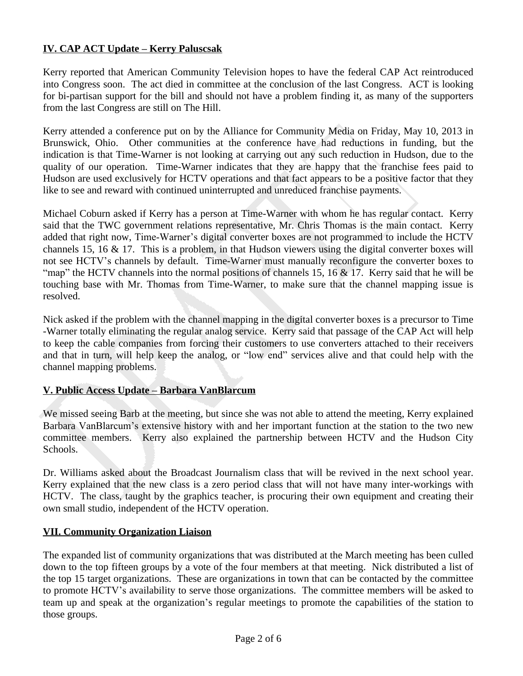## **IV. CAP ACT Update – Kerry Paluscsak**

Kerry reported that American Community Television hopes to have the federal CAP Act reintroduced into Congress soon. The act died in committee at the conclusion of the last Congress. ACT is looking for bi-partisan support for the bill and should not have a problem finding it, as many of the supporters from the last Congress are still on The Hill.

Kerry attended a conference put on by the Alliance for Community Media on Friday, May 10, 2013 in Brunswick, Ohio. Other communities at the conference have had reductions in funding, but the indication is that Time-Warner is not looking at carrying out any such reduction in Hudson, due to the quality of our operation. Time-Warner indicates that they are happy that the franchise fees paid to Hudson are used exclusively for HCTV operations and that fact appears to be a positive factor that they like to see and reward with continued uninterrupted and unreduced franchise payments.

Michael Coburn asked if Kerry has a person at Time-Warner with whom he has regular contact. Kerry said that the TWC government relations representative, Mr. Chris Thomas is the main contact. Kerry added that right now, Time-Warner's digital converter boxes are not programmed to include the HCTV channels 15, 16 & 17. This is a problem, in that Hudson viewers using the digital converter boxes will not see HCTV's channels by default. Time-Warner must manually reconfigure the converter boxes to "map" the HCTV channels into the normal positions of channels 15, 16 & 17. Kerry said that he will be touching base with Mr. Thomas from Time-Warner, to make sure that the channel mapping issue is resolved.

Nick asked if the problem with the channel mapping in the digital converter boxes is a precursor to Time -Warner totally eliminating the regular analog service. Kerry said that passage of the CAP Act will help to keep the cable companies from forcing their customers to use converters attached to their receivers and that in turn, will help keep the analog, or "low end" services alive and that could help with the channel mapping problems.

## **V. Public Access Update – Barbara VanBlarcum**

We missed seeing Barb at the meeting, but since she was not able to attend the meeting, Kerry explained Barbara VanBlarcum's extensive history with and her important function at the station to the two new committee members. Kerry also explained the partnership between HCTV and the Hudson City Schools.

Dr. Williams asked about the Broadcast Journalism class that will be revived in the next school year. Kerry explained that the new class is a zero period class that will not have many inter-workings with HCTV. The class, taught by the graphics teacher, is procuring their own equipment and creating their own small studio, independent of the HCTV operation.

#### **VII. Community Organization Liaison**

The expanded list of community organizations that was distributed at the March meeting has been culled down to the top fifteen groups by a vote of the four members at that meeting. Nick distributed a list of the top 15 target organizations. These are organizations in town that can be contacted by the committee to promote HCTV's availability to serve those organizations. The committee members will be asked to team up and speak at the organization's regular meetings to promote the capabilities of the station to those groups.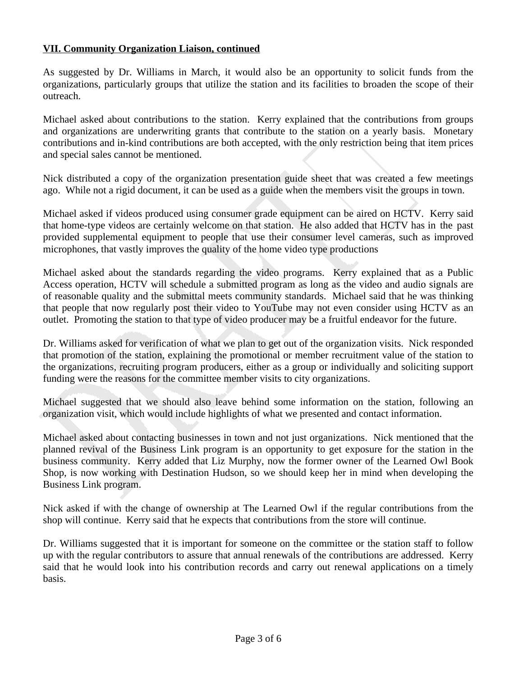### **VII. Community Organization Liaison, continued**

As suggested by Dr. Williams in March, it would also be an opportunity to solicit funds from the organizations, particularly groups that utilize the station and its facilities to broaden the scope of their outreach.

Michael asked about contributions to the station. Kerry explained that the contributions from groups and organizations are underwriting grants that contribute to the station on a yearly basis. Monetary contributions and in-kind contributions are both accepted, with the only restriction being that item prices and special sales cannot be mentioned.

Nick distributed a copy of the organization presentation guide sheet that was created a few meetings ago. While not a rigid document, it can be used as a guide when the members visit the groups in town.

Michael asked if videos produced using consumer grade equipment can be aired on HCTV. Kerry said that home-type videos are certainly welcome on that station. He also added that HCTV has in the past provided supplemental equipment to people that use their consumer level cameras, such as improved microphones, that vastly improves the quality of the home video type productions

Michael asked about the standards regarding the video programs. Kerry explained that as a Public Access operation, HCTV will schedule a submitted program as long as the video and audio signals are of reasonable quality and the submittal meets community standards. Michael said that he was thinking that people that now regularly post their video to YouTube may not even consider using HCTV as an outlet. Promoting the station to that type of video producer may be a fruitful endeavor for the future.

Dr. Williams asked for verification of what we plan to get out of the organization visits. Nick responded that promotion of the station, explaining the promotional or member recruitment value of the station to the organizations, recruiting program producers, either as a group or individually and soliciting support funding were the reasons for the committee member visits to city organizations.

Michael suggested that we should also leave behind some information on the station, following an organization visit, which would include highlights of what we presented and contact information.

Michael asked about contacting businesses in town and not just organizations. Nick mentioned that the planned revival of the Business Link program is an opportunity to get exposure for the station in the business community. Kerry added that Liz Murphy, now the former owner of the Learned Owl Book Shop, is now working with Destination Hudson, so we should keep her in mind when developing the Business Link program.

Nick asked if with the change of ownership at The Learned Owl if the regular contributions from the shop will continue. Kerry said that he expects that contributions from the store will continue.

Dr. Williams suggested that it is important for someone on the committee or the station staff to follow up with the regular contributors to assure that annual renewals of the contributions are addressed. Kerry said that he would look into his contribution records and carry out renewal applications on a timely basis.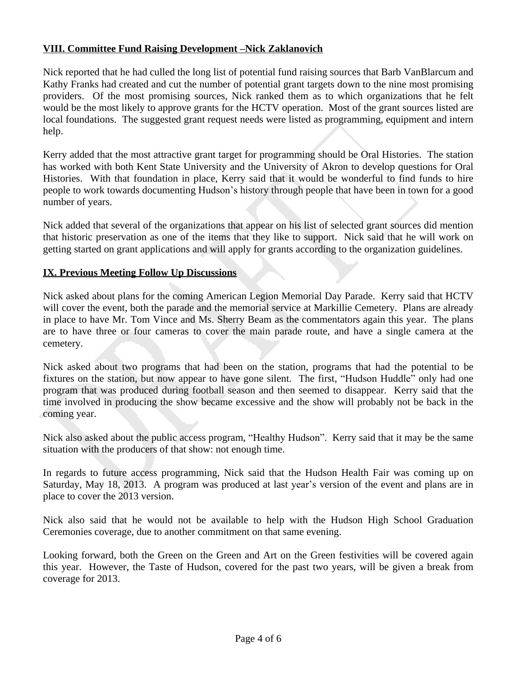## **VIII. Committee Fund Raising Development –Nick Zaklanovich**

Nick reported that he had culled the long list of potential fund raising sources that Barb VanBlarcum and Kathy Franks had created and cut the number of potential grant targets down to the nine most promising providers. Of the most promising sources, Nick ranked them as to which organizations that he felt would be the most likely to approve grants for the HCTV operation. Most of the grant sources listed are local foundations. The suggested grant request needs were listed as programming, equipment and intern help.

Kerry added that the most attractive grant target for programming should be Oral Histories. The station has worked with both Kent State University and the University of Akron to develop questions for Oral Histories. With that foundation in place, Kerry said that it would be wonderful to find funds to hire people to work towards documenting Hudson's history through people that have been in town for a good number of years.

Nick added that several of the organizations that appear on his list of selected grant sources did mention that historic preservation as one of the items that they like to support. Nick said that he will work on getting started on grant applications and will apply for grants according to the organization guidelines.

## **IX. Previous Meeting Follow Up Discussions**

Nick asked about plans for the coming American Legion Memorial Day Parade. Kerry said that HCTV will cover the event, both the parade and the memorial service at Markillie Cemetery. Plans are already in place to have Mr. Tom Vince and Ms. Sherry Beam as the commentators again this year. The plans are to have three or four cameras to cover the main parade route, and have a single camera at the cemetery.

Nick asked about two programs that had been on the station, programs that had the potential to be fixtures on the station, but now appear to have gone silent. The first, "Hudson Huddle" only had one program that was produced during football season and then seemed to disappear. Kerry said that the time involved in producing the show became excessive and the show will probably not be back in the coming year.

Nick also asked about the public access program, "Healthy Hudson". Kerry said that it may be the same situation with the producers of that show: not enough time.

In regards to future access programming, Nick said that the Hudson Health Fair was coming up on Saturday, May 18, 2013. A program was produced at last year's version of the event and plans are in place to cover the 2013 version.

Nick also said that he would not be available to help with the Hudson High School Graduation Ceremonies coverage, due to another commitment on that same evening.

Looking forward, both the Green on the Green and Art on the Green festivities will be covered again this year. However, the Taste of Hudson, covered for the past two years, will be given a break from coverage for 2013.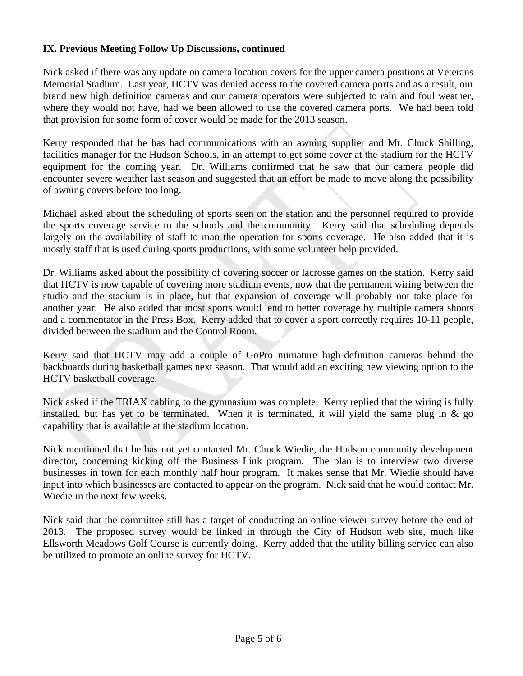## **IX. Previous Meeting Follow Up Discussions, continued**

Nick asked if there was any update on camera location covers for the upper camera positions at Veterans Memorial Stadium. Last year, HCTV was denied access to the covered camera ports and as a result, our brand new high definition cameras and our camera operators were subjected to rain and foul weather, where they would not have, had we been allowed to use the covered camera ports. We had been told that provision for some form of cover would be made for the 2013 season.

Kerry responded that he has had communications with an awning supplier and Mr. Chuck Shilling, facilities manager for the Hudson Schools, in an attempt to get some cover at the stadium for the HCTV equipment for the coming year. Dr. Williams confirmed that he saw that our camera people did encounter severe weather last season and suggested that an effort be made to move along the possibility of awning covers before too long.

Michael asked about the scheduling of sports seen on the station and the personnel required to provide the sports coverage service to the schools and the community. Kerry said that scheduling depends largely on the availability of staff to man the operation for sports coverage. He also added that it is mostly staff that is used during sports productions, with some volunteer help provided.

Dr. Williams asked about the possibility of covering soccer or lacrosse games on the station. Kerry said that HCTV is now capable of covering more stadium events, now that the permanent wiring between the studio and the stadium is in place, but that expansion of coverage will probably not take place for another year. He also added that most sports would lend to better coverage by multiple camera shoots and a commentator in the Press Box. Kerry added that to cover a sport correctly requires 10-11 people, divided between the stadium and the Control Room.

Kerry said that HCTV may add a couple of GoPro miniature high-definition cameras behind the backboards during basketball games next season. That would add an exciting new viewing option to the HCTV basketball coverage.

Nick asked if the TRIAX cabling to the gymnasium was complete. Kerry replied that the wiring is fully installed, but has yet to be terminated. When it is terminated, it will yield the same plug in  $\&$  go capability that is available at the stadium location.

Nick mentioned that he has not yet contacted Mr. Chuck Wiedie, the Hudson community development director, concerning kicking off the Business Link program. The plan is to interview two diverse businesses in town for each monthly half hour program. It makes sense that Mr. Wiedie should have input into which businesses are contacted to appear on the program. Nick said that he would contact Mr. Wiedie in the next few weeks.

Nick said that the committee still has a target of conducting an online viewer survey before the end of 2013. The proposed survey would be linked in through the City of Hudson web site, much like Ellsworth Meadows Golf Course is currently doing. Kerry added that the utility billing service can also be utilized to promote an online survey for HCTV.